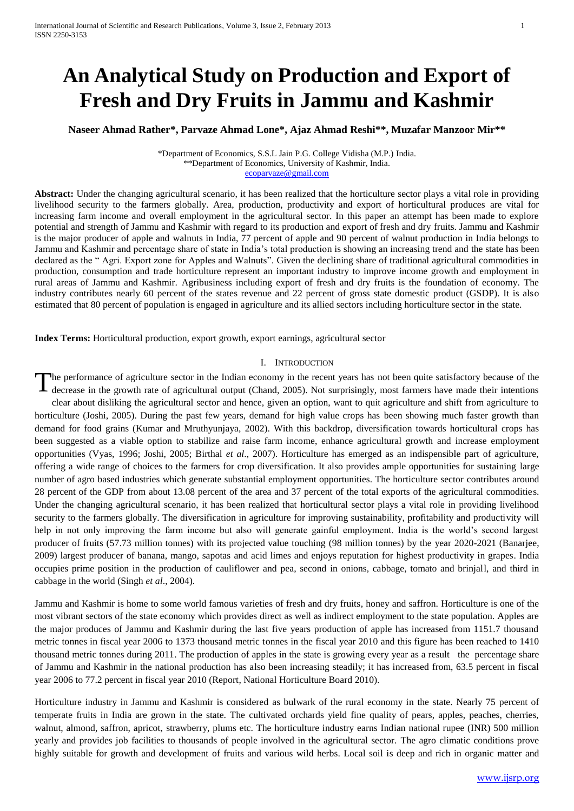# **An Analytical Study on Production and Export of Fresh and Dry Fruits in Jammu and Kashmir**

**Naseer Ahmad Rather\*, Parvaze Ahmad Lone\*, Ajaz Ahmad Reshi\*\*, Muzafar Manzoor Mir\*\***

\*Department of Economics, S.S.L Jain P.G. College Vidisha (M.P.) India. \*\*Department of Economics, University of Kashmir, India. [ecoparvaze@gmail.com](mailto:ecoparvaze@gmail.com)

**Abstract:** Under the changing agricultural scenario, it has been realized that the horticulture sector plays a vital role in providing livelihood security to the farmers globally. Area, production, productivity and export of horticultural produces are vital for increasing farm income and overall employment in the agricultural sector. In this paper an attempt has been made to explore potential and strength of Jammu and Kashmir with regard to its production and export of fresh and dry fruits. Jammu and Kashmir is the major producer of apple and walnuts in India, 77 percent of apple and 90 percent of walnut production in India belongs to Jammu and Kashmir and percentage share of state in India's total production is showing an increasing trend and the state has been declared as the " Agri. Export zone for Apples and Walnuts". Given the declining share of traditional agricultural commodities in production, consumption and trade horticulture represent an important industry to improve income growth and employment in rural areas of Jammu and Kashmir. Agribusiness including export of fresh and dry fruits is the foundation of economy. The industry contributes nearly 60 percent of the states revenue and 22 percent of gross state domestic product (GSDP). It is also estimated that 80 percent of population is engaged in agriculture and its allied sectors including horticulture sector in the state.

**Index Terms:** Horticultural production, export growth, export earnings, agricultural sector

#### I. INTRODUCTION

he performance of agriculture sector in the Indian economy in the recent years has not been quite satisfactory because of the decrease in the growth rate of agricultural output (Chand, 2005). Not surprisingly, most farmers have made their intentions clear about disliking the agricultural sector and hence, given an option, want to quit agriculture and shift from agriculture to horticulture (Joshi, 2005). During the past few years, demand for high value crops has been showing much faster growth than demand for food grains (Kumar and Mruthyunjaya, 2002). With this backdrop, diversification towards horticultural crops has been suggested as a viable option to stabilize and raise farm income, enhance agricultural growth and increase employment opportunities (Vyas, 1996; Joshi, 2005; Birthal *et al*., 2007). Horticulture has emerged as an indispensible part of agriculture, offering a wide range of choices to the farmers for crop diversification. It also provides ample opportunities for sustaining large number of agro based industries which generate substantial employment opportunities. The horticulture sector contributes around 28 percent of the GDP from about 13.08 percent of the area and 37 percent of the total exports of the agricultural commodities. Under the changing agricultural scenario, it has been realized that horticultural sector plays a vital role in providing livelihood security to the farmers globally. The diversification in agriculture for improving sustainability, profitability and productivity will help in not only improving the farm income but also will generate gainful employment. India is the world's second largest producer of fruits (57.73 million tonnes) with its projected value touching (98 million tonnes) by the year 2020-2021 (Banarjee, 2009) largest producer of banana, mango, sapotas and acid limes and enjoys reputation for highest productivity in grapes. India occupies prime position in the production of cauliflower and pea, second in onions, cabbage, tomato and brinjall, and third in cabbage in the world (Singh *et al*., 2004). T

Jammu and Kashmir is home to some world famous varieties of fresh and dry fruits, honey and saffron. Horticulture is one of the most vibrant sectors of the state economy which provides direct as well as indirect employment to the state population. Apples are the major produces of Jammu and Kashmir during the last five years production of apple has increased from 1151.7 thousand metric tonnes in fiscal year 2006 to 1373 thousand metric tonnes in the fiscal year 2010 and this figure has been reached to 1410 thousand metric tonnes during 2011. The production of apples in the state is growing every year as a result the percentage share of Jammu and Kashmir in the national production has also been increasing steadily; it has increased from, 63.5 percent in fiscal year 2006 to 77.2 percent in fiscal year 2010 (Report, National Horticulture Board 2010).

Horticulture industry in Jammu and Kashmir is considered as bulwark of the rural economy in the state. Nearly 75 percent of temperate fruits in India are grown in the state. The cultivated orchards yield fine quality of pears, apples, peaches, cherries, walnut, almond, saffron, apricot, strawberry, plums etc. The horticulture industry earns Indian national rupee (INR) 500 million yearly and provides job facilities to thousands of people involved in the agricultural sector. The agro climatic conditions prove highly suitable for growth and development of fruits and various wild herbs. Local soil is deep and rich in organic matter and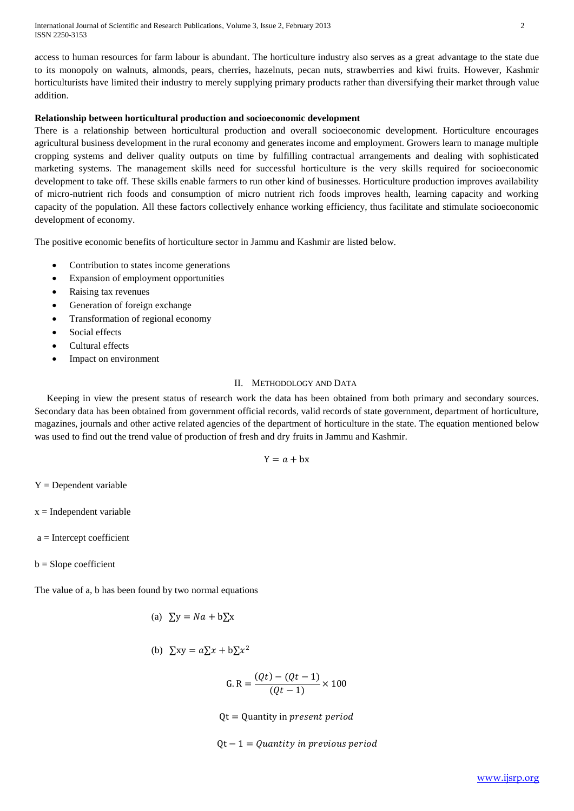International Journal of Scientific and Research Publications, Volume 3, Issue 2, February 2013 2 ISSN 2250-3153

access to human resources for farm labour is abundant. The horticulture industry also serves as a great advantage to the state due to its monopoly on walnuts, almonds, pears, cherries, hazelnuts, pecan nuts, strawberries and kiwi fruits. However, Kashmir horticulturists have limited their industry to merely supplying primary products rather than diversifying their market through value addition.

### **Relationship between horticultural production and socioeconomic development**

There is a relationship between horticultural production and overall socioeconomic development. Horticulture encourages agricultural business development in the rural economy and generates income and employment. Growers learn to manage multiple cropping systems and deliver quality outputs on time by fulfilling contractual arrangements and dealing with sophisticated marketing systems. The management skills need for successful horticulture is the very skills required for socioeconomic development to take off. These skills enable farmers to run other kind of businesses. Horticulture production improves availability of micro-nutrient rich foods and consumption of micro nutrient rich foods improves health, learning capacity and working capacity of the population. All these factors collectively enhance working efficiency, thus facilitate and stimulate socioeconomic development of economy.

The positive economic benefits of horticulture sector in Jammu and Kashmir are listed below.

- Contribution to states income generations
- Expansion of employment opportunities
- Raising tax revenues
- Generation of foreign exchange
- Transformation of regional economy
- Social effects
- Cultural effects
- Impact on environment

# II. METHODOLOGY AND DATA

 Keeping in view the present status of research work the data has been obtained from both primary and secondary sources. Secondary data has been obtained from government official records, valid records of state government, department of horticulture, magazines, journals and other active related agencies of the department of horticulture in the state. The equation mentioned below was used to find out the trend value of production of fresh and dry fruits in Jammu and Kashmir.

$$
Y = a + bx
$$

 $Y = Dependent variable$ 

 $x = Independent variable$ 

 $a =$ Intercept coefficient

 $b =$ Slope coefficient

The value of a, b has been found by two normal equations

(a) 
$$
\Sigma y = Na + b\Sigma x
$$

(b) 
$$
\sum xy = a \sum x + b \sum x^2
$$

$$
G. R = \frac{(Qt) - (Qt - 1)}{(Qt - 1)} \times 100
$$

 $Qt =$  Quantity in *present period* 

 $Qt - 1 =$  Quantity in previous period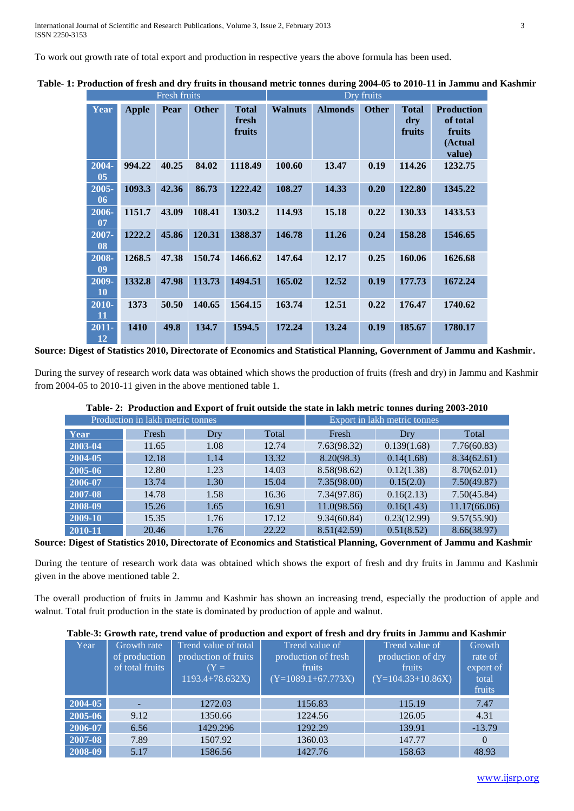To work out growth rate of total export and production in respective years the above formula has been used.

| Fresh fruits          |              |       |              | Dry fruits                      |                |                |              |                               |                                                              |
|-----------------------|--------------|-------|--------------|---------------------------------|----------------|----------------|--------------|-------------------------------|--------------------------------------------------------------|
| Year                  | <b>Apple</b> | Pear  | <b>Other</b> | <b>Total</b><br>fresh<br>fruits | <b>Walnuts</b> | <b>Almonds</b> | <b>Other</b> | <b>Total</b><br>dry<br>fruits | <b>Production</b><br>of total<br>fruits<br>(Actual<br>value) |
| 2004-<br>05           | 994.22       | 40.25 | 84.02        | 1118.49                         | 100.60         | 13.47          | 0.19         | 114.26                        | 1232.75                                                      |
| $2005 -$<br>06        | 1093.3       | 42.36 | 86.73        | 1222.42                         | 108.27         | 14.33          | 0.20         | 122.80                        | 1345.22                                                      |
| 2006-<br>07           | 1151.7       | 43.09 | 108.41       | 1303.2                          | 114.93         | 15.18          | 0.22         | 130.33                        | 1433.53                                                      |
| $2007 -$<br>08        | 1222.2       | 45.86 | 120.31       | 1388.37                         | 146.78         | 11.26          | 0.24         | 158.28                        | 1546.65                                                      |
| 2008-<br>09           | 1268.5       | 47.38 | 150.74       | 1466.62                         | 147.64         | 12.17          | 0.25         | 160.06                        | 1626.68                                                      |
| $2009 -$<br><b>10</b> | 1332.8       | 47.98 | 113.73       | 1494.51                         | 165.02         | 12.52          | 0.19         | 177.73                        | 1672.24                                                      |
| 2010-<br>11           | 1373         | 50.50 | 140.65       | 1564.15                         | 163.74         | 12.51          | 0.22         | 176.47                        | 1740.62                                                      |
| 2011-<br>12           | <b>1410</b>  | 49.8  | 134.7        | 1594.5                          | 172.24         | 13.24          | 0.19         | 185.67                        | 1780.17                                                      |

**Table- 1: Production of fresh and dry fruits in thousand metric tonnes during 2004-05 to 2010-11 in Jammu and Kashmir**

**Source: Digest of Statistics 2010, Directorate of Economics and Statistical Planning, Government of Jammu and Kashmir.**

During the survey of research work data was obtained which shows the production of fruits (fresh and dry) in Jammu and Kashmir from 2004-05 to 2010-11 given in the above mentioned table 1.

|         | Production in lakh metric tonnes |      | Export in lakh metric tonnes |             |             |              |
|---------|----------------------------------|------|------------------------------|-------------|-------------|--------------|
| Year    | Fresh                            | Dry  | Total                        | Fresh       | Dry         | Total        |
| 2003-04 | 11.65                            | 1.08 | 12.74                        | 7.63(98.32) | 0.139(1.68) | 7.76(60.83)  |
| 2004-05 | 12.18                            | 1.14 | 13.32                        | 8.20(98.3)  | 0.14(1.68)  | 8.34(62.61)  |
| 2005-06 | 12.80                            | 1.23 | 14.03                        | 8.58(98.62) | 0.12(1.38)  | 8.70(62.01)  |
| 2006-07 | 13.74                            | 1.30 | 15.04                        | 7.35(98.00) | 0.15(2.0)   | 7.50(49.87)  |
| 2007-08 | 14.78                            | 1.58 | 16.36                        | 7.34(97.86) | 0.16(2.13)  | 7.50(45.84)  |
| 2008-09 | 15.26                            | 1.65 | 16.91                        | 11.0(98.56) | 0.16(1.43)  | 11.17(66.06) |
| 2009-10 | 15.35                            | 1.76 | 17.12                        | 9.34(60.84) | 0.23(12.99) | 9.57(55.90)  |
| 2010-11 | 20.46                            | 1.76 | 22.22                        | 8.51(42.59) | 0.51(8.52)  | 8.66(38.97)  |

# **Table- 2: Production and Export of fruit outside the state in lakh metric tonnes during 2003-2010**

**Source: Digest of Statistics 2010, Directorate of Economics and Statistical Planning, Government of Jammu and Kashmir**

During the tenture of research work data was obtained which shows the export of fresh and dry fruits in Jammu and Kashmir given in the above mentioned table 2.

The overall production of fruits in Jammu and Kashmir has shown an increasing trend, especially the production of apple and walnut. Total fruit production in the state is dominated by production of apple and walnut.

### **Table-3: Growth rate, trend value of production and export of fresh and dry fruits in Jammu and Kashmir**

| Year    | Growth rate<br>of production<br>of total fruits | Trend value of total<br>production of fruits<br>$(Y =$<br>$1193.4 + 78.632X$ | Trend value of<br>production of fresh<br>fruits<br>$(Y=1089.1+67.773X)$ | Trend value of<br>production of dry<br>fruits<br>$(Y=104.33+10.86X)$ | Growth<br>rate of<br>export of<br>total<br>fruits |
|---------|-------------------------------------------------|------------------------------------------------------------------------------|-------------------------------------------------------------------------|----------------------------------------------------------------------|---------------------------------------------------|
| 2004-05 |                                                 | 1272.03                                                                      | 1156.83                                                                 | 115.19                                                               | 7.47                                              |
| 2005-06 | 9.12                                            | 1350.66                                                                      | 1224.56                                                                 | 126.05                                                               | 4.31                                              |
| 2006-07 | 6.56                                            | 1429.296                                                                     | 1292.29                                                                 | 139.91                                                               | $-13.79$                                          |
| 2007-08 | 7.89                                            | 1507.92                                                                      | 1360.03                                                                 | 147.77                                                               | $\Omega$                                          |
| 2008-09 | 5.17                                            | 1586.56                                                                      | 1427.76                                                                 | 158.63                                                               | 48.93                                             |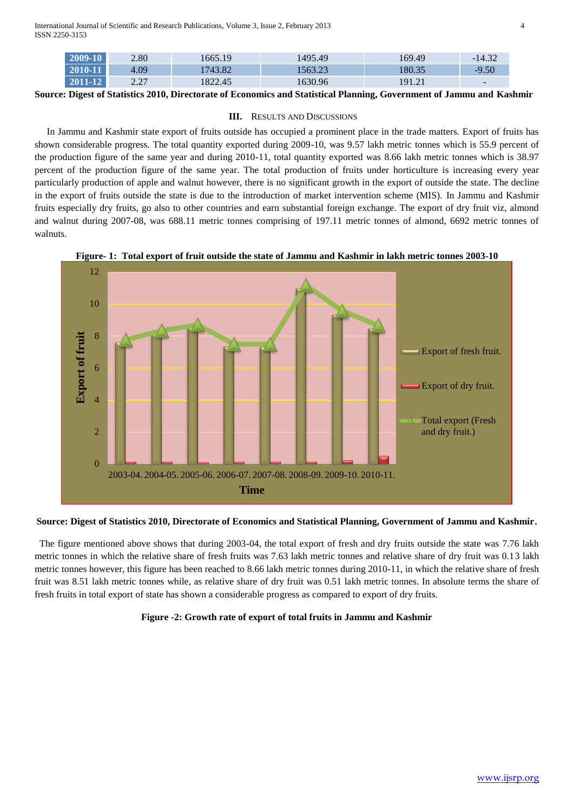International Journal of Scientific and Research Publications, Volume 3, Issue 2, February 2013 4 ISSN 2250-3153

0

2

4

6

**Export of fruit**

Export of fruit

8

| 2009-10 | 2.80         | 665.19  | 1495.49 | 169.49          | $\sqrt{2}$<br>14.32<br>- |
|---------|--------------|---------|---------|-----------------|--------------------------|
| 2010-11 | 4.09         | 1743.82 | 563.23  | 80.35           | $-9.50$                  |
| 2011-12 | 2.27<br>4.41 | 1822.45 | 1630.96 | 101.21<br>1.4.4 | $\overline{\phantom{0}}$ |

**Source: Digest of Statistics 2010, Directorate of Economics and Statistical Planning, Government of Jammu and Kashmir**

### **III.** RESULTS AND DISCUSSIONS

 In Jammu and Kashmir state export of fruits outside has occupied a prominent place in the trade matters. Export of fruits has shown considerable progress. The total quantity exported during 2009-10, was 9.57 lakh metric tonnes which is 55.9 percent of the production figure of the same year and during 2010-11, total quantity exported was 8.66 lakh metric tonnes which is 38.97 percent of the production figure of the same year. The total production of fruits under horticulture is increasing every year particularly production of apple and walnut however, there is no significant growth in the export of outside the state. The decline in the export of fruits outside the state is due to the introduction of market intervention scheme (MIS). In Jammu and Kashmir fruits especially dry fruits, go also to other countries and earn substantial foreign exchange. The export of dry fruit viz, almond and walnut during 2007-08, was 688.11 metric tonnes comprising of 197.11 metric tonnes of almond, 6692 metric tonnes of walnuts.



**Figure- 1: Total export of fruit outside the state of Jammu and Kashmir in lakh metric tonnes 2003-10**

# **Time**

2003-04. 2004-05. 2005-06. 2006-07. 2007-08. 2008-09. 2009-10. 2010-11.

**Source: Digest of Statistics 2010, Directorate of Economics and Statistical Planning, Government of Jammu and Kashmir.**

 The figure mentioned above shows that during 2003-04, the total export of fresh and dry fruits outside the state was 7.76 lakh metric tonnes in which the relative share of fresh fruits was 7.63 lakh metric tonnes and relative share of dry fruit was 0.13 lakh metric tonnes however, this figure has been reached to 8.66 lakh metric tonnes during 2010-11, in which the relative share of fresh fruit was 8.51 lakh metric tonnes while, as relative share of dry fruit was 0.51 lakh metric tonnes. In absolute terms the share of fresh fruits in total export of state has shown a considerable progress as compared to export of dry fruits.

### **Figure -2: Growth rate of export of total fruits in Jammu and Kashmir**

Export of fresh fruit.

Export of dry fruit.

Total export (Fresh and dry fruit.)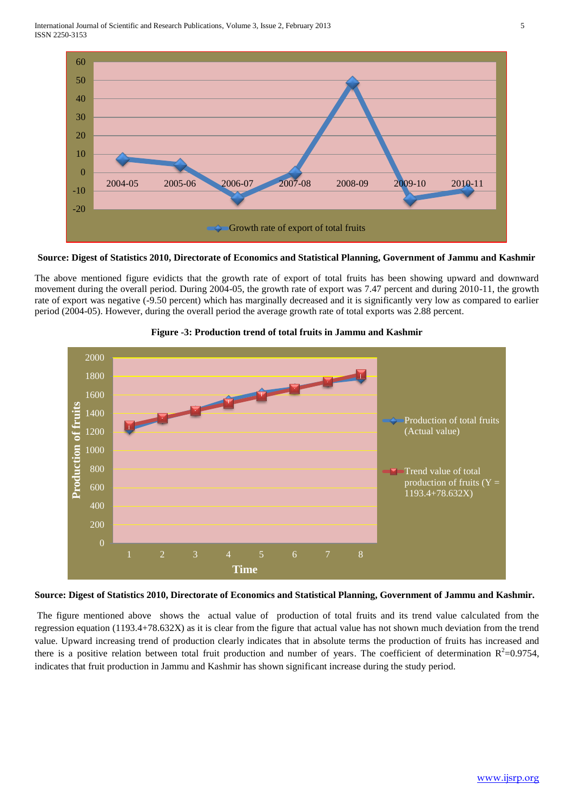International Journal of Scientific and Research Publications, Volume 3, Issue 2, February 2013 5 ISSN 2250-3153



# **Source: Digest of Statistics 2010, Directorate of Economics and Statistical Planning, Government of Jammu and Kashmir**

The above mentioned figure evidicts that the growth rate of export of total fruits has been showing upward and downward movement during the overall period. During 2004-05, the growth rate of export was 7.47 percent and during 2010-11, the growth rate of export was negative (-9.50 percent) which has marginally decreased and it is significantly very low as compared to earlier period (2004-05). However, during the overall period the average growth rate of total exports was 2.88 percent.





### **Source: Digest of Statistics 2010, Directorate of Economics and Statistical Planning, Government of Jammu and Kashmir.**

The figure mentioned above shows the actual value of production of total fruits and its trend value calculated from the regression equation (1193.4+78.632X) as it is clear from the figure that actual value has not shown much deviation from the trend value. Upward increasing trend of production clearly indicates that in absolute terms the production of fruits has increased and there is a positive relation between total fruit production and number of years. The coefficient of determination  $R^2=0.9754$ , indicates that fruit production in Jammu and Kashmir has shown significant increase during the study period.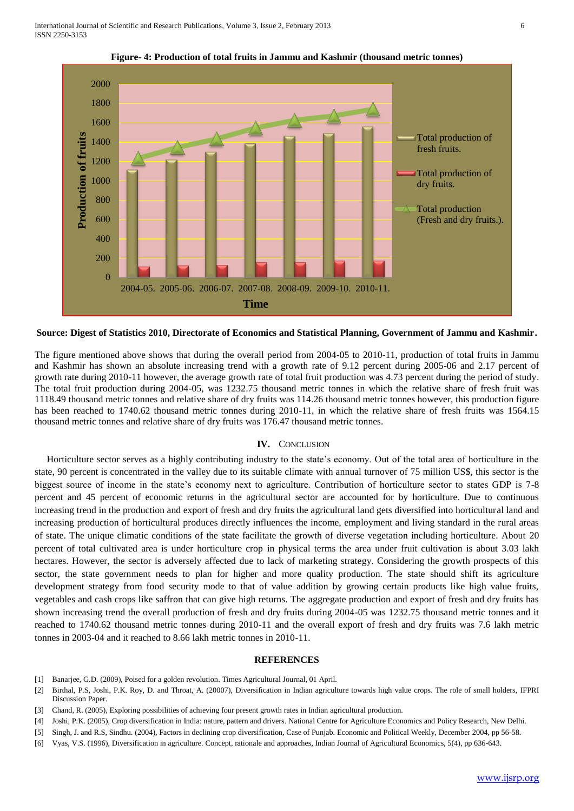

**Figure- 4: Production of total fruits in Jammu and Kashmir (thousand metric tonnes)**

**Source: Digest of Statistics 2010, Directorate of Economics and Statistical Planning, Government of Jammu and Kashmir.**

The figure mentioned above shows that during the overall period from 2004-05 to 2010-11, production of total fruits in Jammu and Kashmir has shown an absolute increasing trend with a growth rate of 9.12 percent during 2005-06 and 2.17 percent of growth rate during 2010-11 however, the average growth rate of total fruit production was 4.73 percent during the period of study. The total fruit production during 2004-05, was 1232.75 thousand metric tonnes in which the relative share of fresh fruit was 1118.49 thousand metric tonnes and relative share of dry fruits was 114.26 thousand metric tonnes however, this production figure has been reached to 1740.62 thousand metric tonnes during 2010-11, in which the relative share of fresh fruits was 1564.15 thousand metric tonnes and relative share of dry fruits was 176.47 thousand metric tonnes.

### **IV.** CONCLUSION

 Horticulture sector serves as a highly contributing industry to the state's economy. Out of the total area of horticulture in the state, 90 percent is concentrated in the valley due to its suitable climate with annual turnover of 75 million US\$, this sector is the biggest source of income in the state's economy next to agriculture. Contribution of horticulture sector to states GDP is 7-8 percent and 45 percent of economic returns in the agricultural sector are accounted for by horticulture. Due to continuous increasing trend in the production and export of fresh and dry fruits the agricultural land gets diversified into horticultural land and increasing production of horticultural produces directly influences the income, employment and living standard in the rural areas of state. The unique climatic conditions of the state facilitate the growth of diverse vegetation including horticulture. About 20 percent of total cultivated area is under horticulture crop in physical terms the area under fruit cultivation is about 3.03 lakh hectares. However, the sector is adversely affected due to lack of marketing strategy. Considering the growth prospects of this sector, the state government needs to plan for higher and more quality production. The state should shift its agriculture development strategy from food security mode to that of value addition by growing certain products like high value fruits, vegetables and cash crops like saffron that can give high returns. The aggregate production and export of fresh and dry fruits has shown increasing trend the overall production of fresh and dry fruits during 2004-05 was 1232.75 thousand metric tonnes and it reached to 1740.62 thousand metric tonnes during 2010-11 and the overall export of fresh and dry fruits was 7.6 lakh metric tonnes in 2003-04 and it reached to 8.66 lakh metric tonnes in 2010-11.

### **REFERENCES**

- [1] Banarjee, G.D. (2009), Poised for a golden revolution. Times Agricultural Journal, 01 April.
- [2] Birthal, P.S, Joshi, P.K. Roy, D. and Throat, A. (20007), Diversification in Indian agriculture towards high value crops. The role of small holders, IFPRI Discussion Paper.
- [3] Chand, R. (2005), Exploring possibilities of achieving four present growth rates in Indian agricultural production.
- [4] Joshi, P.K. (2005), Crop diversification in India: nature, pattern and drivers. National Centre for Agriculture Economics and Policy Research, New Delhi.
- [5] Singh, J. and R.S, Sindhu. (2004), Factors in declining crop diversification, Case of Punjab. Economic and Political Weekly, December 2004, pp 56-58.
- [6] Vyas, V.S. (1996), Diversification in agriculture. Concept, rationale and approaches, Indian Journal of Agricultural Economics, 5(4), pp 636-643.